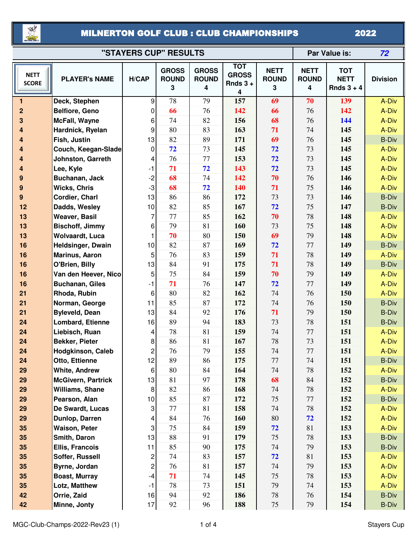

## MILNERTON GOLF CLUB : CLUB CHAMPIONSHIPS

2022

| "STAYERS CUP" RESULTS       |                                       |                         |                                   |                                   |                                               |                                  | Par Value is:                    |                                           | 72                    |
|-----------------------------|---------------------------------------|-------------------------|-----------------------------------|-----------------------------------|-----------------------------------------------|----------------------------------|----------------------------------|-------------------------------------------|-----------------------|
| <b>NETT</b><br><b>SCORE</b> | <b>PLAYER's NAME</b>                  | H/CAP                   | <b>GROSS</b><br><b>ROUND</b><br>3 | <b>GROSS</b><br><b>ROUND</b><br>4 | <b>TOT</b><br><b>GROSS</b><br>Rnds $3 +$<br>4 | <b>NETT</b><br><b>ROUND</b><br>3 | <b>NETT</b><br><b>ROUND</b><br>4 | <b>TOT</b><br><b>NETT</b><br>Rnds $3 + 4$ | <b>Division</b>       |
| 1                           | Deck, Stephen                         | 9                       | 78                                | 79                                | 157                                           | 69                               | 70                               | 139                                       | A-Div                 |
| $\mathbf 2$                 | Belfiore, Geno                        | $\mathbf 0$             | 66                                | 76                                | 142                                           | 66                               | 76                               | 142                                       | A-Div                 |
| 3                           | McFall, Wayne                         | 6                       | 74                                | 82                                | 156                                           | 68                               | 76                               | 144                                       | A-Div                 |
| 4                           | Hardnick, Ryelan                      | 9                       | 80                                | 83                                | 163                                           | 71                               | 74                               | 145                                       | A-Div                 |
| 4                           | Fish, Justin                          | 13                      | 82                                | 89                                | 171                                           | 69                               | 76                               | 145                                       | <b>B-Div</b>          |
| 4                           | Couch, Keegan-Slade                   | 0                       | 72                                | 73                                | 145                                           | 72                               | 73                               | 145                                       | A-Div                 |
| 4                           | Johnston, Garreth                     | 4                       | 76                                | 77                                | 153                                           | 72                               | 73                               | 145                                       | A-Div                 |
| 4                           | Lee, Kyle                             | $-1$                    | 71                                | 72                                | 143                                           | 72                               | 73                               | 145                                       | A-Div                 |
| 9                           | Buchanan, Jack                        | $-2$                    | 68                                | 74                                | 142                                           | 70                               | 76                               | 146                                       | A-Div                 |
| 9                           | <b>Wicks, Chris</b>                   | $-3$                    | 68                                | 72                                | 140                                           | 71                               | 75                               | 146                                       | A-Div                 |
| 9                           | Cordier, Charl                        | 13                      | 86<br>82                          | 86<br>85                          | 172<br>167                                    | 73<br>72                         | 73<br>75                         | 146<br>147                                | <b>B-Div</b>          |
| 12<br>13                    | Dadds, Wesley<br><b>Weaver, Basil</b> | 10<br>7                 | 77                                | 85                                | 162                                           | 70                               | 78                               | 148                                       | <b>B-Div</b><br>A-Div |
| 13                          | <b>Bischoff, Jimmy</b>                | 6                       | 79                                | 81                                | 160                                           | 73                               | 75                               | 148                                       | A-Div                 |
| 13                          | <b>Wolvaardt, Luca</b>                |                         | 70                                | 80                                | 150                                           | 69                               | 79                               | 148                                       | A-Div                 |
| 16                          | Heldsinger, Dwain                     | 10                      | 82                                | 87                                | 169                                           | 72                               | 77                               | 149                                       | <b>B-Div</b>          |
| 16                          | Marinus, Aaron                        | 5                       | 76                                | 83                                | 159                                           | 71                               | 78                               | 149                                       | A-Div                 |
| 16                          | O'Brien, Billy                        | 13                      | 84                                | 91                                | 175                                           | 71                               | 78                               | 149                                       | <b>B-Div</b>          |
| 16                          | Van den Heever, Nico                  | 5                       | 75                                | 84                                | 159                                           | 70                               | 79                               | 149                                       | A-Div                 |
| 16                          | <b>Buchanan, Giles</b>                | $-1$                    | 71                                | 76                                | 147                                           | 72                               | 77                               | 149                                       | A-Div                 |
| 21                          | Rhoda, Rubin                          | 6                       | 80                                | 82                                | 162                                           | 74                               | 76                               | 150                                       | A-Div                 |
| 21                          | Norman, George                        | 11                      | 85                                | 87                                | 172                                           | 74                               | 76                               | 150                                       | <b>B-Div</b>          |
| 21                          | <b>Byleveld, Dean</b>                 | 13                      | 84                                | 92                                | 176                                           | 71                               | 79                               | 150                                       | <b>B-Div</b>          |
| 24                          | Lombard, Etienne                      | 16                      | 89                                | 94                                | 183                                           | 73                               | 78                               | 151                                       | <b>B-Div</b>          |
| 24                          | Liebisch, Ruan                        | 4                       | 78                                | 81                                | 159                                           | 74                               | 77                               | 151                                       | A-Div                 |
| 24                          | Bekker, Pieter                        | 8                       | 86                                | 81                                | 167                                           | 78                               | 73                               | 151                                       | A-Div                 |
| 24                          | <b>Hodgkinson, Caleb</b>              | $\overline{\mathbf{c}}$ | 76                                | 79                                | 155                                           | 74                               | 77                               | 151                                       | A-Div                 |
| 24                          | Otto, Ettienne                        | 12                      | 89                                | 86                                | 175                                           | $77 \,$                          | 74                               | 151                                       | <b>B-Div</b>          |
| 29                          | <b>White, Andrew</b>                  | 6                       | 80                                | 84                                | 164                                           | 74                               | 78                               | 152                                       | A-Div                 |
| 29                          | <b>McGivern, Partrick</b>             | 13                      | 81                                | 97                                | 178                                           | 68                               | 84                               | 152                                       | <b>B-Div</b>          |
| 29                          | Williams, Shane                       | $\,8\,$                 | 82                                | 86                                | 168                                           | 74                               | 78                               | 152                                       | A-Div                 |
| 29                          | Pearson, Alan                         | 10                      | 85                                | 87                                | 172                                           | 75                               | 77                               | 152                                       | <b>B-Div</b>          |
| 29                          | De Swardt, Lucas                      | 3                       | 77                                | 81                                | 158                                           | 74                               | 78                               | 152                                       | A-Div                 |
| 29                          | Dunlop, Darren                        | 4                       | 84                                | 76                                | 160                                           | $80\,$                           | 72                               | 152                                       | A-Div                 |
| 35                          | <b>Waison, Peter</b>                  | 3                       | 75                                | 84                                | 159                                           | 72                               | 81                               | 153                                       | A-Div                 |
| 35                          | Smith, Daron                          | 13                      | 88                                | 91                                | 179                                           | 75                               | 78                               | 153                                       | <b>B-Div</b>          |
| 35                          | Ellis, Francois                       | 11                      | 85                                | 90                                | 175                                           | 74                               | 79                               | 153                                       | <b>B-Div</b>          |
| 35                          | Soffer, Russell                       | $\overline{\mathbf{c}}$ | 74                                | 83                                | 157                                           | 72                               | 81                               | 153                                       | A-Div                 |
| 35                          | Byrne, Jordan                         | $\overline{\mathbf{c}}$ | 76                                | 81                                | 157                                           | 74                               | 79                               | 153                                       | A-Div                 |
| 35                          | <b>Boast, Murray</b>                  | $-4$                    | 71                                | 74                                | 145                                           | 75                               | 78                               | 153                                       | A-Div                 |
| 35                          | Lotz, Matthew                         | $-1$                    | 78                                | 73                                | 151                                           | 79                               | 74                               | 153                                       | A-Div                 |
| 42                          | Orrie, Zaid                           | 16                      | 94                                | 92                                | 186                                           | $78\,$                           | 76                               | 154                                       | <b>B-Div</b>          |
| 42                          | Minne, Jonty                          | 17                      | 92                                | 96                                | 188                                           | 75                               | 79                               | 154                                       | <b>B-Div</b>          |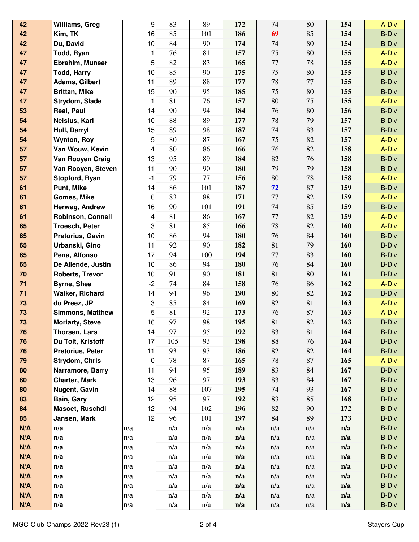| 42  | Williams, Greg          | 9    | 83  | 89  | 172 | 74       | 80  | 154 | A-Div        |
|-----|-------------------------|------|-----|-----|-----|----------|-----|-----|--------------|
| 42  | Kim, TK                 | 16   | 85  | 101 | 186 | 69       | 85  | 154 | <b>B-Div</b> |
| 42  | Du, David               | 10   | 84  | 90  | 174 | 74       | 80  | 154 | <b>B-Div</b> |
| 47  | Todd, Ryan              | 1    | 76  | 81  | 157 | 75       | 80  | 155 | A-Div        |
| 47  | Ebrahim, Muneer         | 5    | 82  | 83  | 165 | 77       | 78  | 155 | A-Div        |
| 47  | <b>Todd, Harry</b>      | 10   | 85  | 90  | 175 | 75       | 80  | 155 | <b>B-Div</b> |
| 47  | <b>Adams, Gilbert</b>   | 11   | 89  | 88  | 177 | $78\,$   | 77  | 155 | <b>B-Div</b> |
| 47  | <b>Brittan, Mike</b>    | 15   | 90  | 95  | 185 | 75       | 80  | 155 | <b>B-Div</b> |
| 47  | Strydom, Slade          | 1    | 81  | 76  | 157 | $80\,$   | 75  | 155 | A-Div        |
| 53  | Real, Paul              | 14   | 90  | 94  | 184 | 76       | 80  | 156 | <b>B-Div</b> |
| 54  | Neisius, Karl           | 10   | 88  | 89  | 177 | 78       | 79  | 157 | <b>B-Div</b> |
| 54  | Hull, Darryl            | 15   | 89  | 98  | 187 | 74       | 83  | 157 | <b>B-Div</b> |
| 54  | <b>Wynton, Roy</b>      | 5    | 80  | 87  | 167 | 75       | 82  | 157 | A-Div        |
| 57  | Van Wouw, Kevin         | 4    | 80  | 86  | 166 | 76       | 82  | 158 | A-Div        |
| 57  | Van Rooyen Craig        | 13   | 95  | 89  | 184 | 82       | 76  | 158 | <b>B-Div</b> |
| 57  | Van Rooyen, Steven      | 11   | 90  | 90  | 180 | 79       | 79  | 158 | <b>B-Div</b> |
| 57  | Stopford, Ryan          | $-1$ | 79  | 77  | 156 | 80       | 78  | 158 | A-Div        |
| 61  | Punt, Mike              | 14   | 86  | 101 | 187 | 72       | 87  | 159 | <b>B-Div</b> |
| 61  | Gomes, Mike             | 6    | 83  | 88  | 171 | $77 \,$  | 82  | 159 | A-Div        |
| 61  | Herweg, Andrew          | 16   | 90  | 101 | 191 | 74       | 85  | 159 | <b>B-Div</b> |
| 61  | Robinson, Connell       | 4    | 81  | 86  | 167 | $77\,$   | 82  | 159 | A-Div        |
| 65  | <b>Troesch, Peter</b>   | 3    | 81  | 85  | 166 | 78       | 82  | 160 | A-Div        |
| 65  | Pretorius, Gavin        | 10   | 86  | 94  | 180 | 76       | 84  | 160 | <b>B-Div</b> |
| 65  | Urbanski, Gino          | 11   | 92  | 90  | 182 | $81\,$   | 79  | 160 | <b>B-Div</b> |
| 65  | Pena, Alfonso           | 17   | 94  | 100 | 194 | $77\,$   | 83  | 160 | <b>B-Div</b> |
| 65  | De Allende, Justin      | 10   | 86  | 94  | 180 | 76       | 84  | 160 | <b>B-Div</b> |
| 70  | <b>Roberts, Trevor</b>  | 10   | 91  | 90  | 181 | 81       | 80  | 161 | <b>B-Div</b> |
| 71  | Byrne, Shea             | $-2$ | 74  | 84  | 158 | 76       | 86  | 162 | A-Div        |
| 71  | Walker, Richard         | 14   | 94  | 96  | 190 | $80\,$   | 82  | 162 | <b>B-Div</b> |
| 73  | du Preez, JP            | 3    | 85  | 84  | 169 | 82       | 81  | 163 | A-Div        |
| 73  | <b>Simmons, Matthew</b> | 5    | 81  | 92  | 173 | 76       | 87  | 163 | A-Div        |
| 73  | <b>Moriarty, Steve</b>  | 16   | 97  | 98  | 195 | 81       | 82  | 163 | <b>B-Div</b> |
| 76  | Thorsen, Lars           | 14   | 97  | 95  | 192 | 83       | 81  | 164 | <b>B-Div</b> |
| 76  | Du Toit, Kristoff       | 17   | 105 | 93  | 198 | $88\,$   | 76  | 164 | <b>B-Div</b> |
| 76  | Pretorius, Peter        | 11   | 93  | 93  | 186 | 82       | 82  | 164 | <b>B-Div</b> |
| 79  | Strydom, Chris          | 0    | 78  | 87  | 165 | 78       | 87  | 165 | A-Div        |
| 80  | Narramore, Barry        | 11   | 94  | 95  | 189 | 83       | 84  | 167 | <b>B-Div</b> |
| 80  | <b>Charter, Mark</b>    | 13   | 96  | 97  | 193 | 83       | 84  | 167 | <b>B-Div</b> |
| 80  | <b>Nugent, Gavin</b>    | 14   | 88  | 107 | 195 | 74       | 93  | 167 | <b>B-Div</b> |
| 83  | Bain, Gary              | 12   | 95  | 97  | 192 | 83       | 85  | 168 | <b>B-Div</b> |
| 84  | Masoet, Ruschdi         | 12   | 94  | 102 | 196 | $82\,$   | 90  | 172 | <b>B-Div</b> |
| 85  | Jansen, Mark            | 12   | 96  | 101 | 197 | $\rm 84$ | 89  | 173 | <b>B-Div</b> |
| N/A | n/a                     | n/a  | n/a | n/a | n/a | n/a      | n/a | n/a | <b>B-Div</b> |
| N/A | n/a                     | n/a  | n/a | n/a | n/a | n/a      | n/a | n/a | <b>B-Div</b> |
| N/A | n/a                     | n/a  | n/a | n/a | n/a | n/a      | n/a | n/a | <b>B-Div</b> |
| N/A | n/a                     | n/a  | n/a | n/a | n/a | n/a      | n/a | n/a | <b>B-Div</b> |
| N/A | n/a                     | n/a  | n/a | n/a | n/a | n/a      | n/a | n/a | <b>B-Div</b> |
| N/A | n/a                     | n/a  | n/a | n/a | n/a | n/a      | n/a | n/a | <b>B-Div</b> |
| N/A | n/a                     | n/a  | n/a | n/a | n/a | n/a      | n/a | n/a | <b>B-Div</b> |
| N/A | n/a                     | n/a  | n/a | n/a | n/a | n/a      | n/a | n/a | <b>B-Div</b> |
| N/A | n/a                     | n/a  | n/a | n/a | n/a | n/a      | n/a | n/a | <b>B-Div</b> |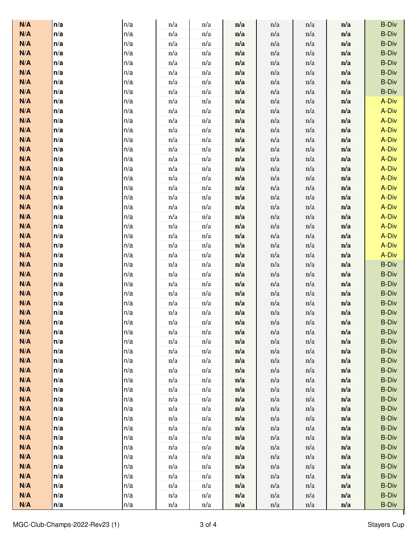| N/A        | n/a        | n/a        | n/a        | n/a        | n/a        | n/a        | n/a        | n/a        | <b>B-Div</b>   |
|------------|------------|------------|------------|------------|------------|------------|------------|------------|----------------|
| N/A        | n/a        | n/a        | n/a        | n/a        | n/a        | n/a        | n/a        | n/a        | <b>B-Div</b>   |
| N/A        | n/a        | n/a        | n/a        | n/a        | n/a        | n/a        | n/a        | n/a        | <b>B-Div</b>   |
| N/A        | n/a        | n/a        | n/a        | n/a        | n/a        | n/a        | n/a        | n/a        | <b>B-Div</b>   |
| N/A        | n/a        | n/a        | n/a        | n/a        | n/a        | n/a        | n/a        | n/a        | <b>B-Div</b>   |
| N/A        | n/a        | n/a        | n/a        | n/a        | n/a        | n/a        | n/a        | n/a        | <b>B-Div</b>   |
| N/A        | n/a        | n/a        | n/a        | n/a        | n/a        | n/a        | n/a        | n/a        | <b>B-Div</b>   |
| N/A        | n/a        | n/a        | n/a        | n/a        | n/a        | n/a        | n/a        | n/a        | <b>B-Div</b>   |
| N/A        | n/a        | n/a        | n/a        | n/a        | n/a        | n/a        | n/a        | n/a        | A-Div          |
| N/A        | n/a        | n/a        | n/a        | n/a        | n/a        | n/a        | n/a        | n/a        | A-Div          |
| N/A        | n/a        | n/a        | n/a        | n/a        | n/a        | n/a        | n/a        | n/a        | A-Div          |
| N/A        | n/a        | n/a        | n/a        | n/a        | n/a        | n/a        | n/a        | n/a        | A-Div          |
| N/A        | n/a        | n/a        | n/a        | n/a        | n/a        | n/a        | n/a        | n/a        | A-Div          |
| N/A        | n/a        | n/a        | n/a        | n/a        | n/a        | n/a        | n/a        | n/a        | A-Div          |
| N/A        | n/a        | n/a        | n/a        | n/a        | n/a        | n/a        | n/a        | n/a        | A-Div          |
| N/A        | n/a        | n/a        | n/a        | n/a        | n/a        | n/a        | n/a        | n/a        | A-Div          |
| N/A        | n/a        | n/a        | n/a        | n/a        | n/a        | n/a        | n/a        | n/a        | A-Div          |
| N/A        | n/a        | n/a        | n/a        | n/a        | n/a        | n/a        | n/a        | n/a        | A-Div          |
| N/A<br>N/A | n/a        | n/a<br>n/a | n/a<br>n/a | n/a        | n/a        | n/a        | n/a        | n/a        | A-Div<br>A-Div |
| N/A        | n/a<br>n/a | n/a        | n/a        | n/a<br>n/a | n/a<br>n/a | n/a<br>n/a | n/a<br>n/a | n/a<br>n/a | A-Div          |
| N/A        | n/a        | n/a        | n/a        | n/a        | n/a        | n/a        | n/a        | n/a        | A-Div          |
| N/A        | n/a        | n/a        | n/a        | n/a        | n/a        | n/a        | n/a        | n/a        | A-Div          |
| N/A        | n/a        | n/a        | n/a        | n/a        | n/a        | n/a        | n/a        | n/a        | A-Div          |
| N/A        | n/a        | n/a        | n/a        | n/a        | n/a        | n/a        | n/a        | n/a        | A-Div          |
| N/A        | n/a        | n/a        | n/a        | n/a        | n/a        | n/a        | n/a        | n/a        | <b>B-Div</b>   |
| N/A        | n/a        | n/a        | n/a        | n/a        | n/a        | n/a        | n/a        | n/a        | <b>B-Div</b>   |
| N/A        | n/a        | n/a        | n/a        | n/a        | n/a        | n/a        | n/a        | n/a        | <b>B-Div</b>   |
| N/A        | n/a        | n/a        | n/a        | n/a        | n/a        | n/a        | n/a        | n/a        | <b>B-Div</b>   |
| N/A        | n/a        | n/a        | n/a        | n/a        | n/a        | n/a        | n/a        | n/a        | <b>B-Div</b>   |
| N/A        | n/a        | n/a        | n/a        | n/a        | n/a        | n/a        | n/a        | n/a        | <b>B-Div</b>   |
| N/A        | n/a        | n/a        | n/a        | n/a        | n/a        | n/a        | n/a        | n/a        | <b>B-Div</b>   |
| N/A        | n/a        | n/a        | n/a        | n/a        | n/a        | n/a        | n/a        | n/a        | <b>B-Div</b>   |
| N/A        | n/a        | n/a        | n/a        | n/a        | n/a        | n/a        | n/a        | n/a        | <b>B-Div</b>   |
| N/A        | n/a        | n/a        | n/a        | n/a        | n/a        | n/a        | n/a        | n/a        | <b>B-Div</b>   |
| N/A        | n/a        | n/a        | n/a        | n/a        | n/a        | n/a        | n/a        | n/a        | <b>B-Div</b>   |
| N/A        | n/a        | n/a        | n/a        | n/a        | n/a        | n/a        | n/a        | n/a        | <b>B-Div</b>   |
| N/A        | n/a        | n/a        | n/a        | n/a        | n/a        | n/a        | n/a        | n/a        | <b>B-Div</b>   |
| N/A        | n/a        | n/a        | n/a        | n/a        | n/a        | n/a        | n/a        | n/a        | <b>B-Div</b>   |
| N/A        | n/a        | n/a        | n/a        | n/a        | n/a        | n/a        | n/a        | n/a        | <b>B-Div</b>   |
| N/A        | n/a        | n/a        | n/a        | n/a        | n/a        | n/a        | n/a        | n/a        | <b>B-Div</b>   |
| N/A        | n/a        | n/a        | n/a        | n/a        | n/a        | n/a        | n/a        | n/a        | <b>B-Div</b>   |
| N/A        | n/a        | n/a        | n/a        | n/a        | n/a        | n/a        | n/a        | n/a        | <b>B-Div</b>   |
| N/A        | n/a        | n/a        | n/a        | n/a        | n/a        | n/a        | n/a        | n/a        | <b>B-Div</b>   |
| N/A        | n/a        | n/a        | n/a        | n/a        | n/a        | n/a        | n/a        | n/a        | <b>B-Div</b>   |
| N/A        | n/a        | n/a        | n/a        | n/a        | n/a        | n/a        | n/a        | n/a        | <b>B-Div</b>   |
| N/A        | n/a        | n/a        | n/a        | n/a        | n/a        | n/a        | n/a        | n/a        | <b>B-Div</b>   |
| N/A        | n/a        | n/a        | n/a        | n/a        | n/a        | n/a        | n/a        | n/a        | <b>B-Div</b>   |
| N/A        | n/a        | n/a        | n/a        | n/a        | n/a        | n/a        | n/a        | n/a        | <b>B-Div</b>   |
| N/A        | n/a        | n/a        | n/a        | n/a        | n/a        | n/a        | n/a        | n/a        | <b>B-Div</b>   |
| N/A        | n/a        | n/a        | n/a        | n/a        | n/a        | n/a        | n/a        | n/a        | <b>B-Div</b>   |